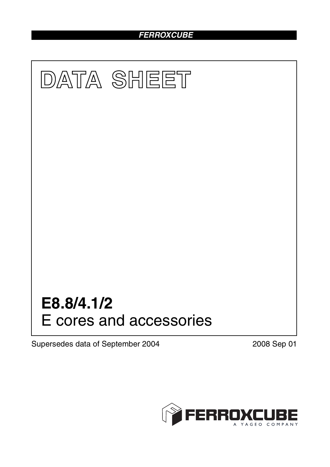# *FERROXCUBE*



Supersedes data of September 2004 2008 Sep 01

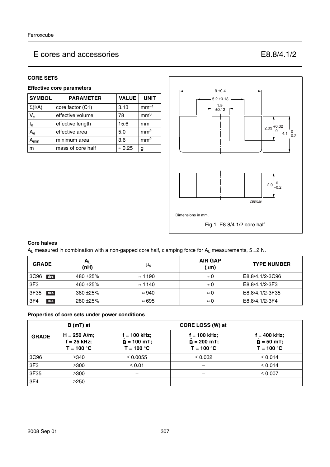## E cores and accessories E8.8/4.1/2

#### **CORE SETS**

#### **Effective core parameters**

| <b>SYMBOL</b>             | <b>PARAMETER</b>  | <b>VALUE</b>   | <b>UNIT</b>     |
|---------------------------|-------------------|----------------|-----------------|
| $\Sigma(I/A)$             | core factor (C1)  | 3.13           | $mm-1$          |
| $V_{e}$                   | effective volume  | 78             | mm <sup>3</sup> |
| $\mathsf{I}_\mathsf{e}$   | effective length  | 15.6           | mm              |
| $A_{e}$                   | effective area    | 5.0            | mm <sup>2</sup> |
| $\mathbf{a}_{\text{min}}$ | minimum area      | 3.6            | mm <sup>2</sup> |
| m                         | mass of core half | $\approx 0.25$ | g               |



#### **Core halves**

A<sub>L</sub> measured in combination with a non-gapped core half, clamping force for A<sub>L</sub> measurements, 5  $\pm$ 2 N.

| <b>GRADE</b>            | $A_{L}$<br>(nH) | $\mu_{\mathbf{e}}$ | <b>AIR GAP</b><br>$(\mu m)$ | <b>TYPE NUMBER</b> |
|-------------------------|-----------------|--------------------|-----------------------------|--------------------|
| 3C <sub>96</sub><br>des | 480 $\pm$ 25%   | $\approx$ 1190     | $\approx 0$                 | E8.8/4.1/2-3C96    |
| 3F <sub>3</sub>         | 460 $\pm$ 25%   | $\approx$ 1140     | $\approx 0$                 | E8.8/4.1/2-3F3     |
| 3F35<br>des             | $380 + 25%$     | $\approx 940$      | $\approx 0$                 | E8.8/4.1/2-3F35    |
| 3F <sub>4</sub><br>des  | $280 + 25%$     | $\approx 695$      | $\approx 0$                 | E8.8/4.1/2-3F4     |

#### **Properties of core sets under power conditions**

|              | B (mT) at                                       | CORE LOSS (W) at                                |                                                 |                                                |  |  |
|--------------|-------------------------------------------------|-------------------------------------------------|-------------------------------------------------|------------------------------------------------|--|--|
| <b>GRADE</b> | $H = 250$ A/m;<br>$f = 25$ kHz;<br>$T = 100 °C$ | $f = 100$ kHz;<br>$B = 100$ mT;<br>$T = 100 °C$ | $f = 100$ kHz;<br>$B = 200$ mT;<br>$T = 100 °C$ | $f = 400$ kHz;<br>$B = 50$ mT;<br>$T = 100 °C$ |  |  |
| 3C96         | $\geq$ 340                                      | $\leq 0.0055$                                   | $\leq 0.032$                                    | $\leq 0.014$                                   |  |  |
| 3F3          | $\geq 300$                                      | $\leq 0.01$                                     |                                                 | $\leq 0.014$                                   |  |  |
| 3F35         | $\geq$ 300                                      |                                                 |                                                 | $\leq 0.007$                                   |  |  |
| 3F4          | $\geq$ 250                                      |                                                 |                                                 |                                                |  |  |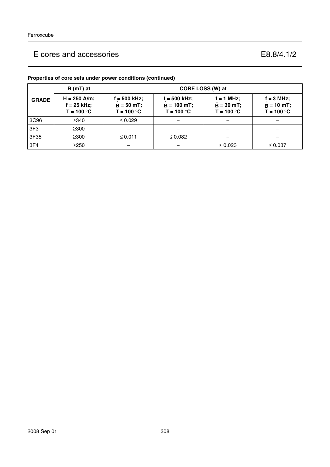## E cores and accessories E8.8/4.1/2

|  | Properties of core sets under power conditions (continued) |  |
|--|------------------------------------------------------------|--|
|  |                                                            |  |

|              | $B(mT)$ at                                      | CORE LOSS (W) at                                |                                                 |                                              |                                               |
|--------------|-------------------------------------------------|-------------------------------------------------|-------------------------------------------------|----------------------------------------------|-----------------------------------------------|
| <b>GRADE</b> | $H = 250$ A/m;<br>$f = 25$ kHz;<br>$T = 100 °C$ | $f = 500$ kHz;<br>$B = 50 mT$ ;<br>$T = 100 °C$ | $f = 500$ kHz;<br>$B = 100$ mT;<br>$T = 100 °C$ | $f = 1$ MHz;<br>$B = 30$ mT;<br>$T = 100 °C$ | $f = 3 MHz$ ;<br>$B = 10$ mT;<br>$T = 100 °C$ |
| 3C96         | $\geq$ 340                                      | $\leq 0.029$                                    |                                                 |                                              |                                               |
| 3F3          | $\geq 300$                                      |                                                 |                                                 |                                              |                                               |
| 3F35         | $\geq$ 300                                      | ≤ 0.011                                         | $\leq 0.082$                                    |                                              |                                               |
| 3F4          | $\geq$ 250                                      |                                                 |                                                 | $\leq 0.023$                                 | $\leq 0.037$                                  |